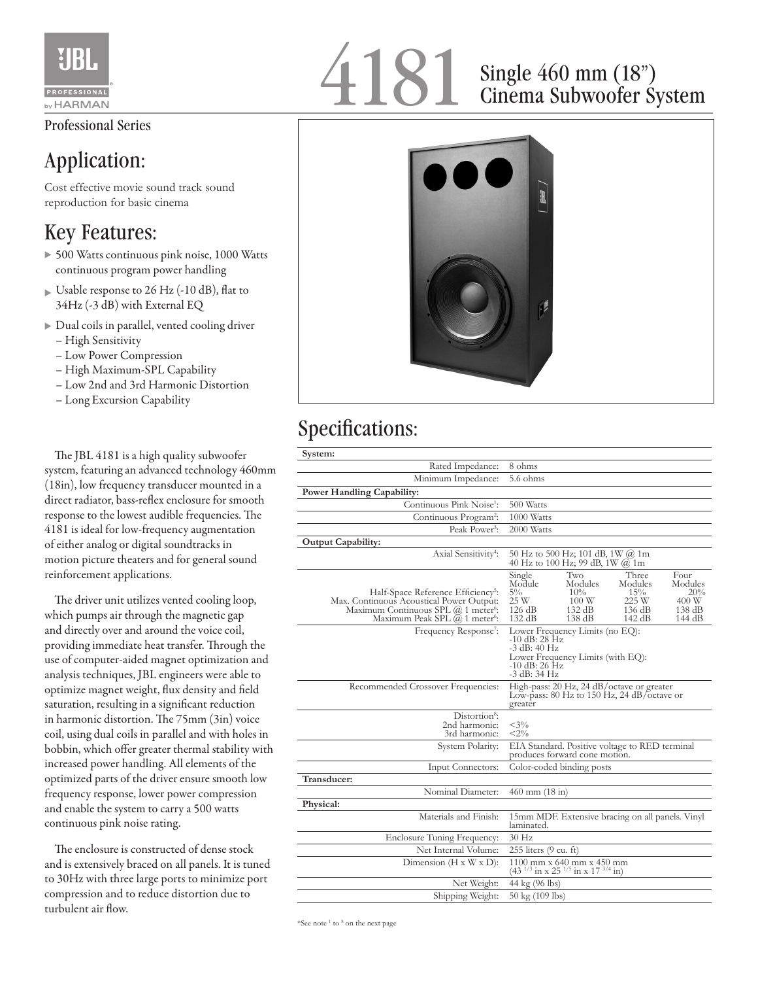

### Professional Series

## Application:

Cost effective movie sound track sound reproduction for basic cinema

### Key Features:

- ▶ 500 Watts continuous pink noise, 1000 Watts continuous program power handling
- $\triangleright$  Usable response to 26 Hz (-10 dB), flat to 34Hz (-3 dB) with External EQ
- Dual coils in parallel, vented cooling driver – High Sensitivity
	- Low Power Compression
	- High Maximum-SPL Capability
	- Low 2nd and 3rd Harmonic Distortion
	- Long Excursion Capability

 The JBL 4181 is a high quality subwoofer system, featuring an advanced technology 460mm (18in), low frequency transducer mounted in a direct radiator, bass-reflex enclosure for smooth response to the lowest audible frequencies. The 4181 is ideal for low-frequency augmentation of either analog or digital soundtracks in motion picture theaters and for general sound reinforcement applications.

 The driver unit utilizes vented cooling loop, which pumps air through the magnetic gap and directly over and around the voice coil, providing immediate heat transfer. Through the use of computer-aided magnet optimization and analysis techniques, JBL engineers were able to optimize magnet weight, flux density and field saturation, resulting in a significant reduction in harmonic distortion. The 75mm (3in) voice coil, using dual coils in parallel and with holes in bobbin, which offer greater thermal stability with increased power handling. All elements of the optimized parts of the driver ensure smooth low frequency response, lower power compression and enable the system to carry a 500 watts continuous pink noise rating.

 The enclosure is constructed of dense stock and is extensively braced on all panels. It is tuned to 30Hz with three large ports to minimize port compression and to reduce distortion due to turbulent air flow.

# 4181 Single 460 mm (18")<br>Cinema Subwoofer S

# Cinema Subwoofer System



### Specifications:

| System:                                                                                                                                                                                        |                                                                                                                                                                                                                                     |
|------------------------------------------------------------------------------------------------------------------------------------------------------------------------------------------------|-------------------------------------------------------------------------------------------------------------------------------------------------------------------------------------------------------------------------------------|
| Rated Impedance:                                                                                                                                                                               | 8 ohms                                                                                                                                                                                                                              |
| Minimum Impedance:                                                                                                                                                                             | 5.6 ohms                                                                                                                                                                                                                            |
| <b>Power Handling Capability:</b>                                                                                                                                                              |                                                                                                                                                                                                                                     |
| Continuous Pink Noise <sup>1</sup> :                                                                                                                                                           | 500 Watts                                                                                                                                                                                                                           |
| Continuous Program <sup>2</sup> :                                                                                                                                                              | 1000 Watts                                                                                                                                                                                                                          |
| Peak Power <sup>3</sup> :                                                                                                                                                                      | 2000 Watts                                                                                                                                                                                                                          |
| Output Capability:                                                                                                                                                                             |                                                                                                                                                                                                                                     |
| Axial Sensitivity <sup>4</sup> :                                                                                                                                                               | 50 Hz to 500 Hz; 101 dB, 1W @ 1m<br>40 Hz to 100 Hz; 99 dB, $1W \omega 1m$                                                                                                                                                          |
| Half-Space Reference Efficiency <sup>5</sup> :<br>Max. Continuous Acoustical Power Output:<br>Maximum Continuous SPL @ 1 meter <sup>6</sup> :<br>Maximum Peak SPL $(a)$ 1 meter <sup>6</sup> : | Two<br>Four<br>Single<br>Three<br>Module<br>Modules<br>Modules<br>Modules<br>$5\%$<br>10%<br>15%<br>20%<br>225 W<br>25 W<br>100W<br>400 W<br>126 dB<br>132 dB<br>136 dB<br>138 dB<br>132 dB<br>$138 \text{ dB}$<br>142 dB<br>144 dB |
| Frequency Response <sup>7</sup> :                                                                                                                                                              | Lower Frequency Limits (no EQ):<br>-10 dB: 28 Hz<br>-3 dB: 40 Hz<br>Lower Frequency Limits (with EQ):<br>$-10$ dB: 26 Hz<br>-3 dB: 34 Hz                                                                                            |
| Recommended Crossover Frequencies:                                                                                                                                                             | High-pass: 20 Hz, 24 dB/octave or greater<br>Low-pass: $80$ Hz to $150$ Hz, $24$ dB/octave or<br>greater                                                                                                                            |
| Distortion <sup>8</sup> :<br>2nd harmonic:<br>3rd harmonic:                                                                                                                                    | $<$ 3%<br>$<$ 2%                                                                                                                                                                                                                    |
| System Polarity:                                                                                                                                                                               | EIA Standard. Positive voltage to RED terminal<br>produces forward cone motion.                                                                                                                                                     |
| Input Connectors:                                                                                                                                                                              | Color-coded binding posts                                                                                                                                                                                                           |
| Transducer:                                                                                                                                                                                    |                                                                                                                                                                                                                                     |
| Nominal Diameter:                                                                                                                                                                              | $460$ mm $(18$ in)                                                                                                                                                                                                                  |
| Physical:                                                                                                                                                                                      |                                                                                                                                                                                                                                     |
| Materials and Finish:                                                                                                                                                                          | 15mm MDF. Extensive bracing on all panels. Vinyl<br>laminated.                                                                                                                                                                      |
| Enclosure Tuning Frequency:                                                                                                                                                                    | $30$ Hz                                                                                                                                                                                                                             |
| Net Internal Volume:                                                                                                                                                                           | 255 liters (9 cu. ft)                                                                                                                                                                                                               |
| Dimension $(H \times W \times D)$ :                                                                                                                                                            | 1100 mm x 640 mm x 450 mm<br>(43 <sup><math>1/3</math></sup> in x 25 <sup><math>1/5</math></sup> in x 17 <sup>3/4</sup> in)                                                                                                         |
| Net Weight:                                                                                                                                                                                    | 44 kg (96 lbs)                                                                                                                                                                                                                      |
| Shipping Weight:                                                                                                                                                                               | 50 kg (109 lbs)                                                                                                                                                                                                                     |

\*See note<sup>1</sup> to<sup>8</sup> on the next page